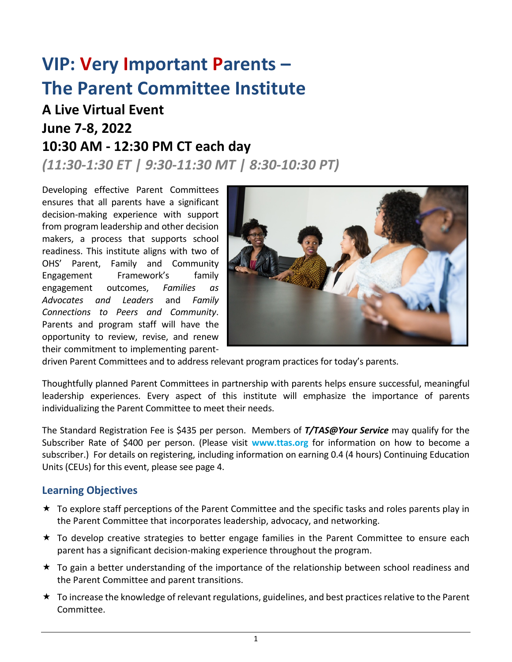# **VIP: Very Important Parents – The Parent Committee Institute**

## **A Live Virtual Event June 7-8, 2022 10:30 AM - 12:30 PM CT each day**

*(11:30-1:30 ET | 9:30-11:30 MT | 8:30-10:30 PT)*

Developing effective Parent Committees ensures that all parents have a significant decision-making experience with support from program leadership and other decision makers, a process that supports school readiness. This institute aligns with two of OHS' Parent, Family and Community Engagement Framework's family engagement outcomes, *Families as Advocates and Leaders* and *Family Connections to Peers and Community*. Parents and program staff will have the opportunity to review, revise, and renew their commitment to implementing parent-



driven Parent Committees and to address relevant program practices for today's parents.

Thoughtfully planned Parent Committees in partnership with parents helps ensure successful, meaningful leadership experiences. Every aspect of this institute will emphasize the importance of parents individualizing the Parent Committee to meet their needs.

The Standard Registration Fee is \$435 per person. Members of *T/TAS@Your Service* may qualify for the Subscriber Rate of \$400 per person. (Please visit **www.ttas.org** for information on how to become a subscriber.) For details on registering, including information on earning 0.4 (4 hours) Continuing Education Units (CEUs) for this event, please see page 4.

## **Learning Objectives**

- $\star$  To explore staff perceptions of the Parent Committee and the specific tasks and roles parents play in the Parent Committee that incorporates leadership, advocacy, and networking.
- $\star$  To develop creative strategies to better engage families in the Parent Committee to ensure each parent has a significant decision-making experience throughout the program.
- \* To gain a better understanding of the importance of the relationship between school readiness and the Parent Committee and parent transitions.
- $\star$  To increase the knowledge of relevant regulations, guidelines, and best practices relative to the Parent Committee.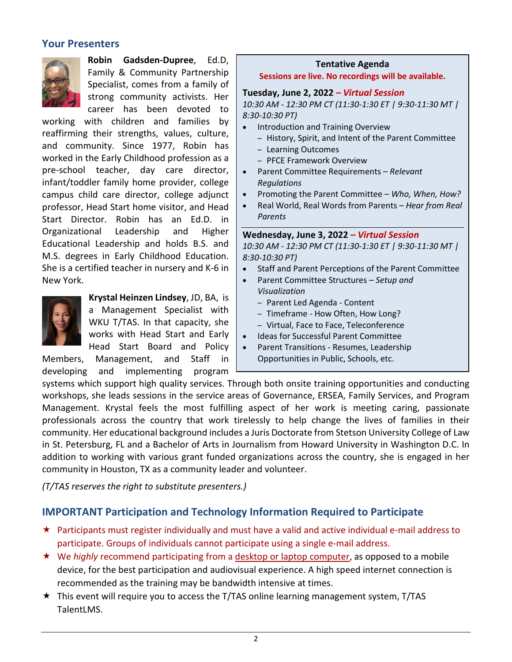## **Your Presenters**



**Robin Gadsden-Dupree**, Ed.D, Family & Community Partnership Specialist, comes from a family of strong community activists. Her career has been devoted to

working with children and families by reaffirming their strengths, values, culture, and community. Since 1977, Robin has worked in the Early Childhood profession as a pre-school teacher, day care director, infant/toddler family home provider, college campus child care director, college adjunct professor, Head Start home visitor, and Head Start Director. Robin has an Ed.D. in Organizational Leadership and Higher Educational Leadership and holds B.S. and M.S. degrees in Early Childhood Education. She is a certified teacher in nursery and K-6 in New York.



**Krystal Heinzen Lindsey**, JD, BA, is a Management Specialist with WKU T/TAS. In that capacity, she works with Head Start and Early Head Start Board and Policy

Members, Management, and Staff in developing and implementing program

#### **Tentative Agenda Sessions are live. No recordings will be available.**

#### **Tuesday, June 2, 2022** *– Virtual Session*

*10:30 AM - 12:30 PM CT (11:30-1:30 ET | 9:30-11:30 MT | 8:30-10:30 PT)*

- Introduction and Training Overview
	- History, Spirit, and Intent of the Parent Committee
	- Learning Outcomes
	- PFCE Framework Overview
- Parent Committee Requirements *Relevant Regulations*
- Promoting the Parent Committee *Who, When, How?*
- Real World, Real Words from Parents *Hear from Real Parents*

**Wednesday, June 3, 2022** *– Virtual Session 10:30 AM - 12:30 PM CT (11:30-1:30 ET | 9:30-11:30 MT | 8:30-10:30 PT)*

- Staff and Parent Perceptions of the Parent Committee
- Parent Committee Structures *Setup and Visualization*
	- Parent Led Agenda Content
	- Timeframe How Often, How Long?
	- Virtual, Face to Face, Teleconference
- Ideas for Successful Parent Committee
- Parent Transitions Resumes, Leadership Opportunities in Public, Schools, etc.

systems which support high quality services. Through both onsite training opportunities and conducting workshops, she leads sessions in the service areas of Governance, ERSEA, Family Services, and Program Management. Krystal feels the most fulfilling aspect of her work is meeting caring, passionate professionals across the country that work tirelessly to help change the lives of families in their community. Her educational background includes a Juris Doctorate from Stetson University College of Law in St. Petersburg, FL and a Bachelor of Arts in Journalism from Howard University in Washington D.C. In addition to working with various grant funded organizations across the country, she is engaged in her community in Houston, TX as a community leader and volunteer.

*(T/TAS reserves the right to substitute presenters.)*

## **IMPORTANT Participation and Technology Information Required to Participate**

- Participants must register individually and must have a valid and active individual e-mail address to participate. Groups of individuals cannot participate using a single e-mail address.
- We *highly* recommend participating from a desktop or laptop computer, as opposed to a mobile device, for the best participation and audiovisual experience. A high speed internet connection is recommended as the training may be bandwidth intensive at times.
- $\star$  This event will require you to access the T/TAS online learning management system, T/TAS TalentLMS.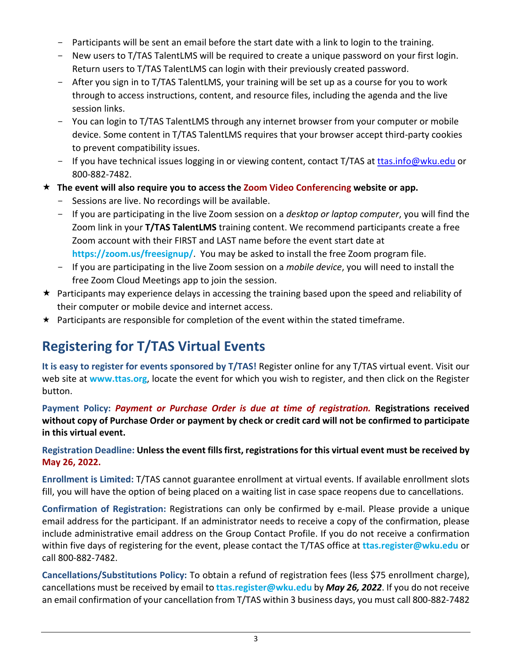- Participants will be sent an email before the start date with a link to login to the training.
- New users to T/TAS TalentLMS will be required to create a unique password on your first login. Return users to T/TAS TalentLMS can login with their previously created password.
- After you sign in to T/TAS TalentLMS, your training will be set up as a course for you to work through to access instructions, content, and resource files, including the agenda and the live session links.
- You can login to T/TAS TalentLMS through any internet browser from your computer or mobile device. Some content in T/TAS TalentLMS requires that your browser accept third-party cookies to prevent compatibility issues.
- If you have technical issues logging in or viewing content, contact T/TAS at [ttas.info@wku.edu](mailto:ttas.info@wku.edu) or 800-882-7482.
- **The event will also require you to access the Zoom Video Conferencing website or app.** 
	- Sessions are live. No recordings will be available.
	- If you are participating in the live Zoom session on a *desktop or laptop computer*, you will find the Zoom link in your **T/TAS TalentLMS** training content. We recommend participants create a free Zoom account with their FIRST and LAST name before the event start date at **<https://zoom.us/freesignup/>**. You may be asked to install the free Zoom program file.
	- If you are participating in the live Zoom session on a *mobile device*, you will need to install the free Zoom Cloud Meetings app to join the session.
- $\star$  Participants may experience delays in accessing the training based upon the speed and reliability of their computer or mobile device and internet access.
- $\star$  Participants are responsible for completion of the event within the stated timeframe.

## **Registering for T/TAS Virtual Events**

**It is easy to register for events sponsored by T/TAS!** Register online for any T/TAS virtual event. Visit our web site at **www.ttas.org**, locate the event for which you wish to register, and then click on the Register button.

**Payment Policy:** *Payment or Purchase Order is due at time of registration.* **Registrations received without copy of Purchase Order or payment by check or credit card will not be confirmed to participate in this virtual event.**

## **Registration Deadline: Unless the event fills first, registrations for this virtual event must be received by May 26, 2022.**

**Enrollment is Limited:** T/TAS cannot guarantee enrollment at virtual events. If available enrollment slots fill, you will have the option of being placed on a waiting list in case space reopens due to cancellations.

**Confirmation of Registration:** Registrations can only be confirmed by e-mail. Please provide a unique email address for the participant. If an administrator needs to receive a copy of the confirmation, please include administrative email address on the Group Contact Profile. If you do not receive a confirmation within five days of registering for the event, please contact the T/TAS office at **[ttas.register@wku.edu](mailto:ttas.register@wku.edu)** or call 800-882-7482.

**Cancellations/Substitutions Policy:** To obtain a refund of registration fees (less \$75 enrollment charge), cancellations must be received by email to **[ttas.register@wku.edu](mailto:ttas.register@wku.edu)** by *May 26, 2022*. If you do not receive an email confirmation of your cancellation from T/TAS within 3 business days, you must call 800-882-7482